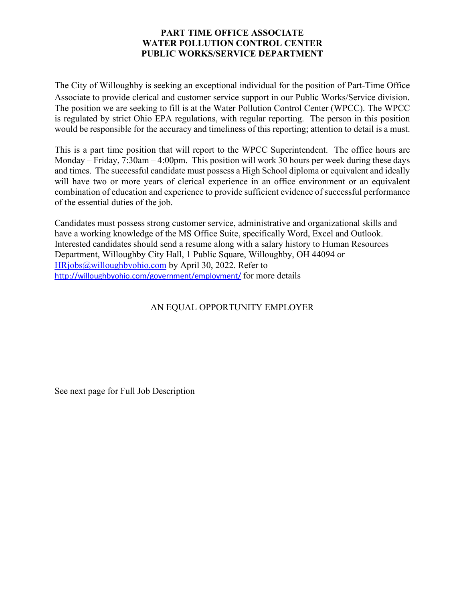## **PART TIME OFFICE ASSOCIATE WATER POLLUTION CONTROL CENTER PUBLIC WORKS/SERVICE DEPARTMENT**

The City of Willoughby is seeking an exceptional individual for the position of Part-Time Office Associate to provide clerical and customer service support in our Public Works/Service division. The position we are seeking to fill is at the Water Pollution Control Center (WPCC). The WPCC is regulated by strict Ohio EPA regulations, with regular reporting. The person in this position would be responsible for the accuracy and timeliness of this reporting; attention to detail is a must.

This is a part time position that will report to the WPCC Superintendent. The office hours are Monday – Friday, 7:30am – 4:00pm. This position will work 30 hours per week during these days and times. The successful candidate must possess a High School diploma or equivalent and ideally will have two or more years of clerical experience in an office environment or an equivalent combination of education and experience to provide sufficient evidence of successful performance of the essential duties of the job.

Candidates must possess strong customer service, administrative and organizational skills and have a working knowledge of the MS Office Suite, specifically Word, Excel and Outlook. Interested candidates should send a resume along with a salary history to Human Resources Department, Willoughby City Hall, 1 Public Square, Willoughby, OH 44094 or [HRjobs@willoughbyohio.com](mailto:HRjobs@willoughbyohio.com) by April 30, 2022. Refer to <http://willoughbyohio.com/government/employment/> for more details

# AN EQUAL OPPORTUNITY EMPLOYER

See next page for Full Job Description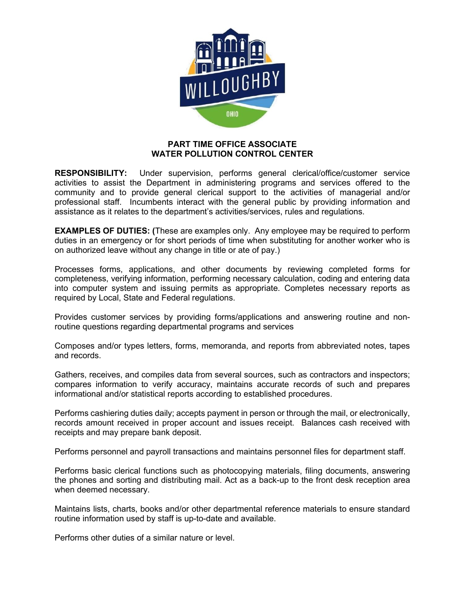

#### **PART TIME OFFICE ASSOCIATE WATER POLLUTION CONTROL CENTER**

**RESPONSIBILITY:** Under supervision, performs general clerical/office/customer service activities to assist the Department in administering programs and services offered to the community and to provide general clerical support to the activities of managerial and/or professional staff. Incumbents interact with the general public by providing information and assistance as it relates to the department's activities/services, rules and regulations.

**EXAMPLES OF DUTIES: (**These are examples only. Any employee may be required to perform duties in an emergency or for short periods of time when substituting for another worker who is on authorized leave without any change in title or ate of pay.)

Processes forms, applications, and other documents by reviewing completed forms for completeness, verifying information, performing necessary calculation, coding and entering data into computer system and issuing permits as appropriate. Completes necessary reports as required by Local, State and Federal regulations.

Provides customer services by providing forms/applications and answering routine and nonroutine questions regarding departmental programs and services

Composes and/or types letters, forms, memoranda, and reports from abbreviated notes, tapes and records.

Gathers, receives, and compiles data from several sources, such as contractors and inspectors; compares information to verify accuracy, maintains accurate records of such and prepares informational and/or statistical reports according to established procedures.

Performs cashiering duties daily; accepts payment in person or through the mail, or electronically, records amount received in proper account and issues receipt. Balances cash received with receipts and may prepare bank deposit.

Performs personnel and payroll transactions and maintains personnel files for department staff.

Performs basic clerical functions such as photocopying materials, filing documents, answering the phones and sorting and distributing mail. Act as a back-up to the front desk reception area when deemed necessary.

Maintains lists, charts, books and/or other departmental reference materials to ensure standard routine information used by staff is up-to-date and available.

Performs other duties of a similar nature or level.